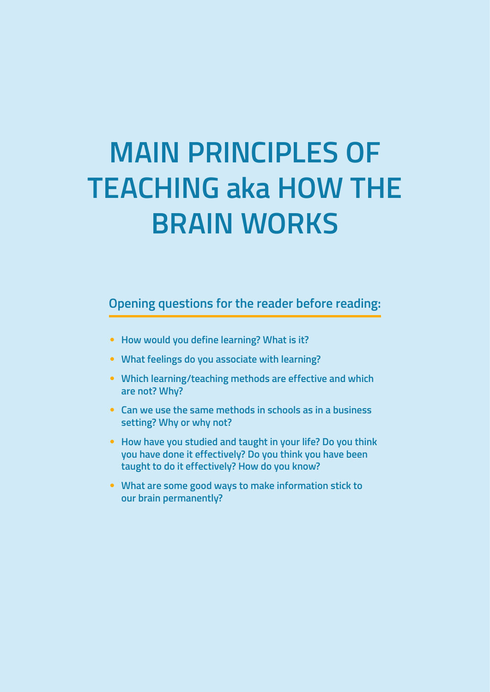# **MAIN PRINCIPLES OF TEACHING aka HOW THE BRAIN WORKS**

**Opening questions for the reader before reading:**

- **How would you define learning? What is it?**
- **What feelings do you associate with learning?**
- **Which learning/teaching methods are effective and which are not? Why?**
- **Can we use the same methods in schools as in a business setting? Why or why not?**
- **How have you studied and taught in your life? Do you think you have done it effectively? Do you think you have been taught to do it effectively? How do you know?**
- **What are some good ways to make information stick to our brain permanently?**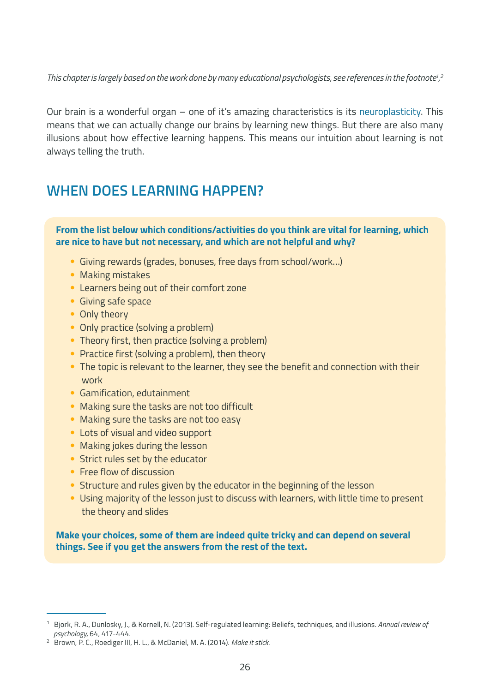This chapter is largely based on the work done by many educational psychologists, see references in the footnote<sup>1</sup>,<sup>2</sup> *,*

Our brain is a wonderful organ – one of it's amazing characteristics is its [neuroplasticity](https://www.youtube.com/watch?v=ELpfYCZa87g). This means that we can actually change our brains by learning new things. But there are also many illusions about how effective learning happens. This means our intuition about learning is not always telling the truth.

# **WHEN DOES LEARNING HAPPEN?**

**From the list below which conditions/activities do you think are vital for learning, which are nice to have but not necessary, and which are not helpful and why?**

- Giving rewards (grades, bonuses, free days from school/work…)
- Making mistakes
- Learners being out of their comfort zone
- Giving safe space
- Only theory
- Only practice (solving a problem)
- Theory first, then practice (solving a problem)
- Practice first (solving a problem), then theory
- The topic is relevant to the learner, they see the benefit and connection with their work
- Gamification, edutainment
- Making sure the tasks are not too difficult
- Making sure the tasks are not too easy
- Lots of visual and video support
- Making jokes during the lesson
- Strict rules set by the educator
- Free flow of discussion
- Structure and rules given by the educator in the beginning of the lesson
- Using majority of the lesson just to discuss with learners, with little time to present the theory and slides

**Make your choices, some of them are indeed quite tricky and can depend on several things. See if you get the answers from the rest of the text.**

<sup>1</sup> Bjork, R. A., Dunlosky, J., & Kornell, N. (2013). Self-regulated learning: Beliefs, techniques, and illusions. *Annual review of psychology,* 64, 417-444.

<sup>2</sup> Brown, P. C., Roediger III, H. L., & McDaniel, M. A. (2014). *Make it stick.*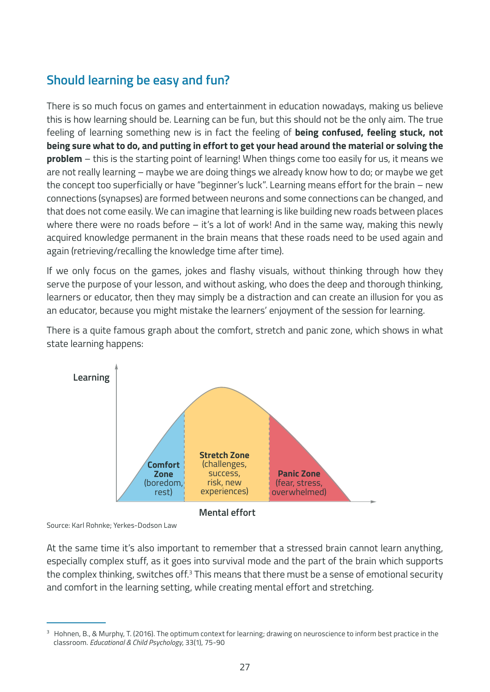# **Should learning be easy and fun?**

There is so much focus on games and entertainment in education nowadays, making us believe this is how learning should be. Learning can be fun, but this should not be the only aim. The true feeling of learning something new is in fact the feeling of **being confused, feeling stuck, not being sure what to do, and putting in effort to get your head around the material or solving the problem** – this is the starting point of learning! When things come too easily for us, it means we are not really learning – maybe we are doing things we already know how to do; or maybe we get the concept too superficially or have "beginner's luck". Learning means effort for the brain – new connections (synapses) are formed between neurons and some connections can be changed, and that does not come easily. We can imagine that learning is like building new roads between places where there were no roads before – it's a lot of work! And in the same way, making this newly acquired knowledge permanent in the brain means that these roads need to be used again and again (retrieving/recalling the knowledge time after time).

If we only focus on the games, jokes and flashy visuals, without thinking through how they serve the purpose of your lesson, and without asking, who does the deep and thorough thinking, learners or educator, then they may simply be a distraction and can create an illusion for you as an educator, because you might mistake the learners' enjoyment of the session for learning.

There is a quite famous graph about the comfort, stretch and panic zone, which shows in what state learning happens:



**Mental effort**

Source: Karl Rohnke; Yerkes-Dodson Law

At the same time it's also important to remember that a stressed brain cannot learn anything, especially complex stuff, as it goes into survival mode and the part of the brain which supports the complex thinking, switches off. $3$  This means that there must be a sense of emotional security and comfort in the learning setting, while creating mental effort and stretching.

<sup>&</sup>lt;sup>3</sup> Hohnen, B., & Murphy, T. (2016). The optimum context for learning; drawing on neuroscience to inform best practice in the classroom. *Educational & Child Psychology*, 33(1), 75-90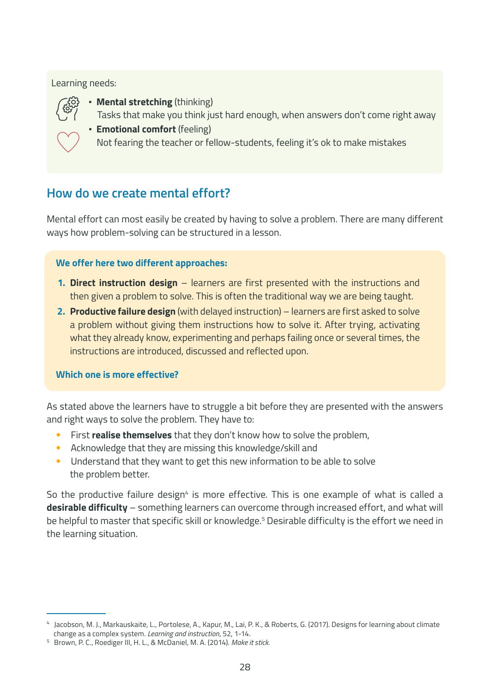#### Learning needs:



- ∙ **Mental stretching** (thinking)
	- Tasks that make you think just hard enough, when answers don't come right away
- ∙ **Emotional comfort** (feeling)
	- Not fearing the teacher or fellow-students, feeling it's ok to make mistakes

# **How do we create mental effort?**

Mental effort can most easily be created by having to solve a problem. There are many different ways how problem-solving can be structured in a lesson.

#### **We offer here two different approaches:**

- **1. Direct instruction design** learners are first presented with the instructions and then given a problem to solve. This is often the traditional way we are being taught.
- **2. Productive failure design** (with delayed instruction) learners are first asked to solve a problem without giving them instructions how to solve it. After trying, activating what they already know, experimenting and perhaps failing once or several times, the instructions are introduced, discussed and reflected upon.

#### **Which one is more effective?**

As stated above the learners have to struggle a bit before they are presented with the answers and right ways to solve the problem. They have to:

- First **realise themselves** that they don't know how to solve the problem,
- Acknowledge that they are missing this knowledge/skill and
- Understand that they want to get this new information to be able to solve the problem better.

So the productive failure design<sup>4</sup> is more effective. This is one example of what is called a **desirable difficulty** – something learners can overcome through increased effort, and what will be helpful to master that specific skill or knowledge.<sup>5</sup> Desirable difficulty is the effort we need in the learning situation.

<sup>4</sup> Jacobson, M. J., Markauskaite, L., Portolese, A., Kapur, M., Lai, P. K., & Roberts, G. (2017). Designs for learning about climate change as a complex system. *Learning and instruction*, 52, 1-14.

<sup>5</sup> Brown, P. C., Roediger III, H. L., & McDaniel, M. A. (2014). *Make it stick.*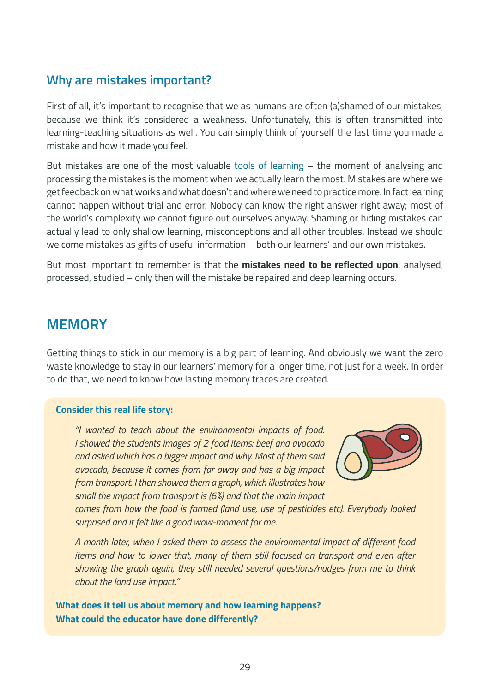# **Why are mistakes important?**

First of all, it's important to recognise that we as humans are often (a)shamed of our mistakes, because we think it's considered a weakness. Unfortunately, this is often transmitted into learning-teaching situations as well. You can simply think of yourself the last time you made a mistake and how it made you feel.

But mistakes are one of the most valuable [tools of learning](https://www.youtube.com/watch?v=WtKJrB5rOKs) - the moment of analysing and processing the mistakes is the moment when we actually learn the most. Mistakes are where we get feedback on what works and what doesn't and where we need to practice more. In fact learning cannot happen without trial and error. Nobody can know the right answer right away; most of the world's complexity we cannot figure out ourselves anyway. Shaming or hiding mistakes can actually lead to only shallow learning, misconceptions and all other troubles. Instead we should welcome mistakes as gifts of useful information – both our learners' and our own mistakes.

But most important to remember is that the **mistakes need to be reflected upon**, analysed, processed, studied – only then will the mistake be repaired and deep learning occurs.

# **MEMORY**

Getting things to stick in our memory is a big part of learning. And obviously we want the zero waste knowledge to stay in our learners' memory for a longer time, not just for a week. In order to do that, we need to know how lasting memory traces are created.

#### **Consider this real life story:**

*"I wanted to teach about the environmental impacts of food. I showed the students images of 2 food items: beef and avocado and asked which has a bigger impact and why. Most of them said avocado, because it comes from far away and has a big impact from transport. I then showed them a graph, which illustrates how small the impact from transport is (6%) and that the main impact* 



*comes from how the food is farmed (land use, use of pesticides etc). Everybody looked surprised and it felt like a good wow-moment for me.*

*A month later, when I asked them to assess the environmental impact of different food items and how to lower that, many of them still focused on transport and even after showing the graph again, they still needed several questions/nudges from me to think about the land use impact."*

**What does it tell us about memory and how learning happens? What could the educator have done differently?**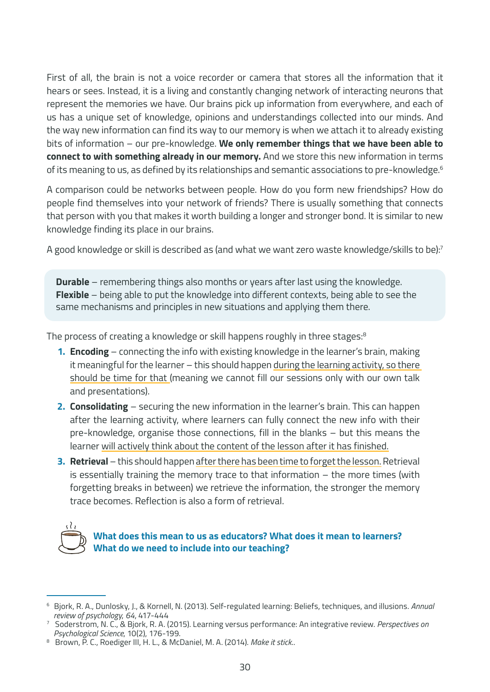First of all, the brain is not a voice recorder or camera that stores all the information that it hears or sees. Instead, it is a living and constantly changing network of interacting neurons that represent the memories we have. Our brains pick up information from everywhere, and each of us has a unique set of knowledge, opinions and understandings collected into our minds. And the way new information can find its way to our memory is when we attach it to already existing bits of information – our pre-knowledge. **We only remember things that we have been able to connect to with something already in our memory.** And we store this new information in terms of its meaning to us, as defined by its relationships and semantic associations to pre-knowledge.<sup>6</sup>

A comparison could be networks between people. How do you form new friendships? How do people find themselves into your network of friends? There is usually something that connects that person with you that makes it worth building a longer and stronger bond. It is similar to new knowledge finding its place in our brains.

A good knowledge or skill is described as (and what we want zero waste knowledge/skills to be):7

**Durable** – remembering things also months or years after last using the knowledge. **Flexible** – being able to put the knowledge into different contexts, being able to see the same mechanisms and principles in new situations and applying them there.

The process of creating a knowledge or skill happens roughly in three stages:<sup>8</sup>

- **1. Encoding** connecting the info with existing knowledge in the learner's brain, making it meaningful for the learner – this should happen during the learning activity, so there should be time for that (meaning we cannot fill our sessions only with our own talk and presentations).
- **2. Consolidating** securing the new information in the learner's brain. This can happen after the learning activity, where learners can fully connect the new info with their pre-knowledge, organise those connections, fill in the blanks – but this means the learner will actively think about the content of the lesson after it has finished.
- **3. Retrieval** this should happen after there has been time to forget the lesson. Retrieval is essentially training the memory trace to that information – the more times (with forgetting breaks in between) we retrieve the information, the stronger the memory trace becomes. Reflection is also a form of retrieval.



#### **What does this mean to us as educators? What does it mean to learners? What do we need to include into our teaching?**

<sup>6</sup> Bjork, R. A., Dunlosky, J., & Kornell, N. (2013). Self-regulated learning: Beliefs, techniques, and illusions. *Annual review of psychology*, *64*, 417-444

<sup>7</sup> Soderstrom, N. C., & Bjork, R. A. (2015). Learning versus performance: An integrative review. *Perspectives on Psychological Science*, 10(2), 176-199.

<sup>8</sup> Brown, P. C., Roediger III, H. L., & McDaniel, M. A. (2014). Make it stick..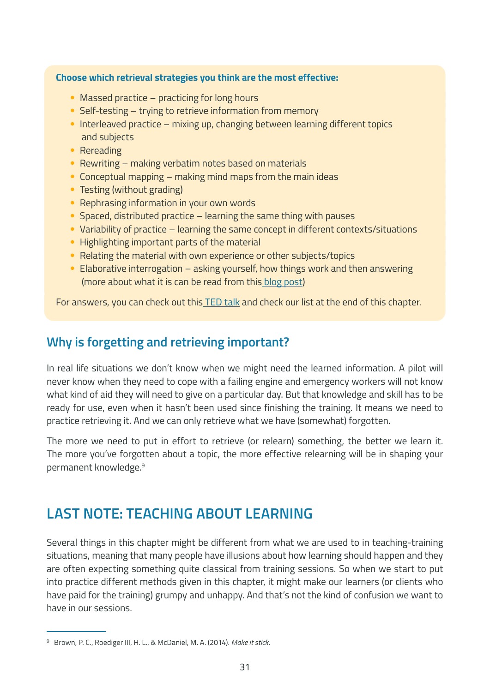#### **Choose which retrieval strategies you think are the most effective:**

- Massed practice practicing for long hours
- Self-testing trying to retrieve information from memory
- Interleaved practice mixing up, changing between learning different topics and subjects
- Rereading
- Rewriting making verbatim notes based on materials
- Conceptual mapping making mind maps from the main ideas
- Testing (without grading)
- Rephrasing information in your own words
- Spaced, distributed practice learning the same thing with pauses
- Variability of practice learning the same concept in different contexts/situations
- Highlighting important parts of the material
- Relating the material with own experience or other subjects/topics
- Elaborative interrogation asking yourself, how things work and then answering (more about what it is can be read from this [blog post\)](https://www.learningscientists.org/blog/2016/7/7-1)

For answers, you can check out this [TED talk](https://www.ted.com/talks/elizabeth_bjork_robert_bjork_how_to_study_to_maximize_performance) and check our list at the end of this chapter.

# **Why is forgetting and retrieving important?**

In real life situations we don't know when we might need the learned information. A pilot will never know when they need to cope with a failing engine and emergency workers will not know what kind of aid they will need to give on a particular day. But that knowledge and skill has to be ready for use, even when it hasn't been used since finishing the training. It means we need to practice retrieving it. And we can only retrieve what we have (somewhat) forgotten.

The more we need to put in effort to retrieve (or relearn) something, the better we learn it. The more you've forgotten about a topic, the more effective relearning will be in shaping your permanent knowledge.9

# **LAST NOTE: TEACHING ABOUT LEARNING**

Several things in this chapter might be different from what we are used to in teaching-training situations, meaning that many people have illusions about how learning should happen and they are often expecting something quite classical from training sessions. So when we start to put into practice different methods given in this chapter, it might make our learners (or clients who have paid for the training) grumpy and unhappy. And that's not the kind of confusion we want to have in our sessions.

<sup>9</sup> Brown, P. C., Roediger III, H. L., & McDaniel, M. A. (2014). *Make it stick*.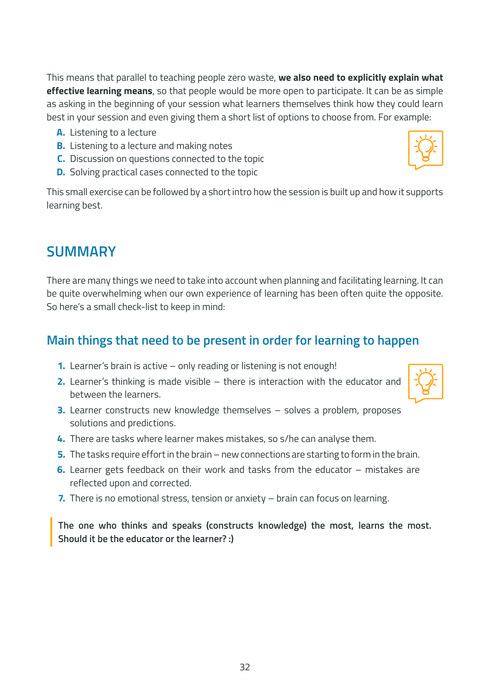This means that parallel to teaching people zero waste, **we also need to explicitly explain what effective learning means**, so that people would be more open to participate. It can be as simple as asking in the beginning of your session what learners themselves think how they could learn best in your session and even giving them a short list of options to choose from. For example:

- **A.** Listening to a lecture
- **B.** Listening to a lecture and making notes
- **C.** Discussion on questions connected to the topic
- **D.** Solving practical cases connected to the topic

This small exercise can be followed by a short intro how the session is built up and how it supports learning best.

# **SUMMARY**

There are many things we need to take into account when planning and facilitating learning. It can be quite overwhelming when our own experience of learning has been often quite the opposite. So here's a small check-list to keep in mind:

# **Main things that need to be present in order for learning to happen**

- **1.** Learner's brain is active only reading or listening is not enough!
- **2.** Learner's thinking is made visible there is interaction with the educator and between the learners.
- **3.** Learner constructs new knowledge themselves solves a problem, proposes solutions and predictions.
- **4.** There are tasks where learner makes mistakes, so s/he can analyse them.
- **5.** The tasks require effort in the brain new connections are starting to form in the brain.
- **6.** Learner gets feedback on their work and tasks from the educator mistakes are reflected upon and corrected.
- **7.** There is no emotional stress, tension or anxiety brain can focus on learning.

**The one who thinks and speaks (constructs knowledge) the most, learns the most. Should it be the educator or the learner? :)**

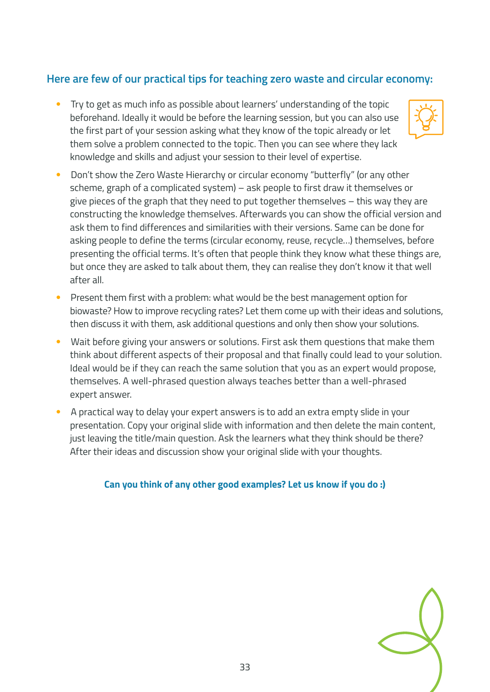# **Here are few of our practical tips for teaching zero waste and circular economy:**

• Try to get as much info as possible about learners' understanding of the topic beforehand. Ideally it would be before the learning session, but you can also use the first part of your session asking what they know of the topic already or let them solve a problem connected to the topic. Then you can see where they lack knowledge and skills and adjust your session to their level of expertise.



- Don't show the Zero Waste Hierarchy or circular economy "butterfly" (or any other scheme, graph of a complicated system) – ask people to first draw it themselves or give pieces of the graph that they need to put together themselves – this way they are constructing the knowledge themselves. Afterwards you can show the official version and ask them to find differences and similarities with their versions. Same can be done for asking people to define the terms (circular economy, reuse, recycle…) themselves, before presenting the official terms. It's often that people think they know what these things are, but once they are asked to talk about them, they can realise they don't know it that well after all.
- Present them first with a problem: what would be the best management option for biowaste? How to improve recycling rates? Let them come up with their ideas and solutions, then discuss it with them, ask additional questions and only then show your solutions.
- Wait before giving your answers or solutions. First ask them questions that make them think about different aspects of their proposal and that finally could lead to your solution. Ideal would be if they can reach the same solution that you as an expert would propose, themselves. A well-phrased question always teaches better than a well-phrased expert answer.
- A practical way to delay your expert answers is to add an extra empty slide in your presentation. Copy your original slide with information and then delete the main content, just leaving the title/main question. Ask the learners what they think should be there? After their ideas and discussion show your original slide with your thoughts.

#### **Can you think of any other good examples? Let us know if you do :)**

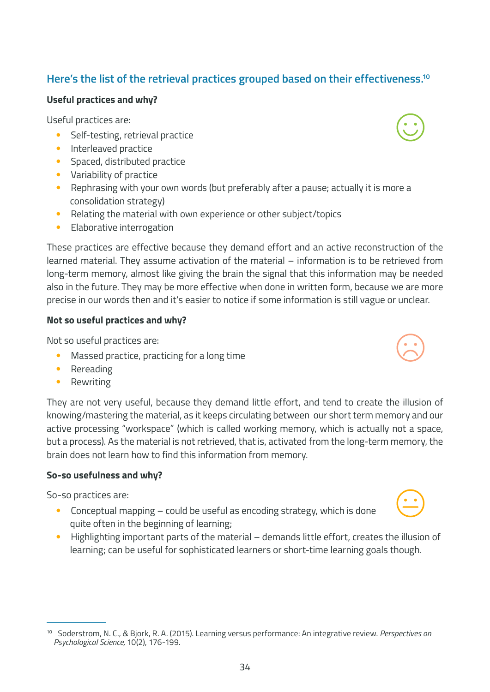# <sup>10</sup> Soderstrom, N. C., & Bjork, R. A. (2015). Learning versus performance: An integrative review. *Perspectives on Psychological Science,* 10(2), 176-199.

# **Here's the list of the retrieval practices grouped based on their effectiveness.10**

## **Useful practices and why?**

Useful practices are:

- Self-testing, retrieval practice
- Interleaved practice
- Spaced, distributed practice
- Variability of practice
- Rephrasing with your own words (but preferably after a pause; actually it is more a consolidation strategy)
- Relating the material with own experience or other subject/topics
- Elaborative interrogation

These practices are effective because they demand effort and an active reconstruction of the learned material. They assume activation of the material – information is to be retrieved from long-term memory, almost like giving the brain the signal that this information may be needed also in the future. They may be more effective when done in written form, because we are more precise in our words then and it's easier to notice if some information is still vague or unclear.

## **Not so useful practices and why?**

Not so useful practices are:

- Massed practice, practicing for a long time
- Rereading
- **Rewriting**

They are not very useful, because they demand little effort, and tend to create the illusion of knowing/mastering the material, as it keeps circulating between our short term memory and our active processing "workspace" (which is called working memory, which is actually not a space, but a process). As the material is not retrieved, that is, activated from the long-term memory, the brain does not learn how to find this information from memory.

# **So-so usefulness and why?**

So-so practices are:

- Conceptual mapping could be useful as encoding strategy, which is done quite often in the beginning of learning;
- Highlighting important parts of the material demands little effort, creates the illusion of learning; can be useful for sophisticated learners or short-time learning goals though.







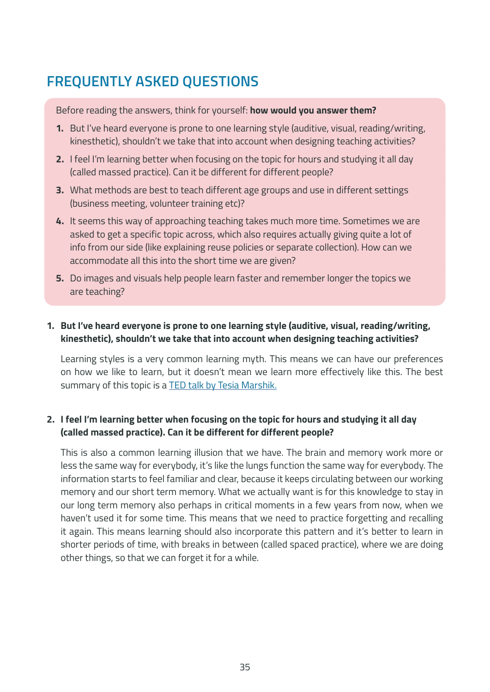# **FREQUENTLY ASKED QUESTIONS**

Before reading the answers, think for yourself: **how would you answer them?**

- **1.** But I've heard everyone is prone to one learning style (auditive, visual, reading/writing, kinesthetic), shouldn't we take that into account when designing teaching activities?
- **2.** I feel I'm learning better when focusing on the topic for hours and studying it all day (called massed practice). Can it be different for different people?
- **3.** What methods are best to teach different age groups and use in different settings (business meeting, volunteer training etc)?
- **4.** It seems this way of approaching teaching takes much more time. Sometimes we are asked to get a specific topic across, which also requires actually giving quite a lot of info from our side (like explaining reuse policies or separate collection). How can we accommodate all this into the short time we are given?
- **5.** Do images and visuals help people learn faster and remember longer the topics we are teaching?

#### **1. But I've heard everyone is prone to one learning style (auditive, visual, reading/writing, kinesthetic), shouldn't we take that into account when designing teaching activities?**

Learning styles is a very common learning myth. This means we can have our preferences on how we like to learn, but it doesn't mean we learn more effectively like this. The best summary of this topic is a [TED talk by Tesia Marshik.](https://www.youtube.com/watch?v=855Now8h5Rs)

#### **2. I feel I'm learning better when focusing on the topic for hours and studying it all day (called massed practice). Can it be different for different people?**

This is also a common learning illusion that we have. The brain and memory work more or less the same way for everybody, it's like the lungs function the same way for everybody. The information starts to feel familiar and clear, because it keeps circulating between our working memory and our short term memory. What we actually want is for this knowledge to stay in our long term memory also perhaps in critical moments in a few years from now, when we haven't used it for some time. This means that we need to practice forgetting and recalling it again. This means learning should also incorporate this pattern and it's better to learn in shorter periods of time, with breaks in between (called spaced practice), where we are doing other things, so that we can forget it for a while.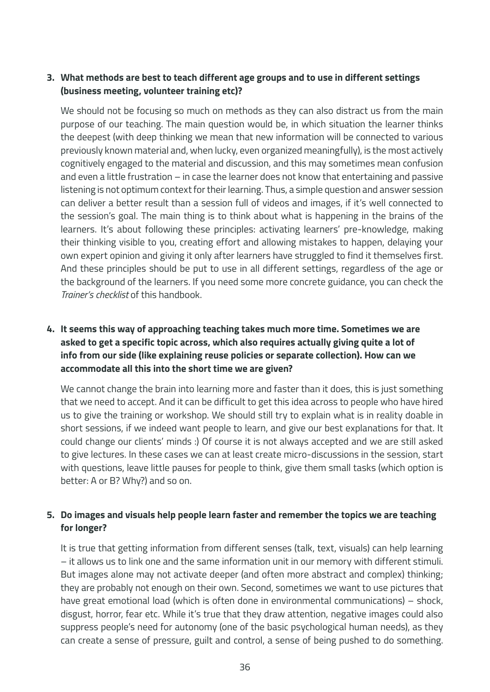#### **3. What methods are best to teach different age groups and to use in different settings (business meeting, volunteer training etc)?**

We should not be focusing so much on methods as they can also distract us from the main purpose of our teaching. The main question would be, in which situation the learner thinks the deepest (with deep thinking we mean that new information will be connected to various previously known material and, when lucky, even organized meaningfully), is the most actively cognitively engaged to the material and discussion, and this may sometimes mean confusion and even a little frustration – in case the learner does not know that entertaining and passive listening is not optimum context for their learning. Thus, a simple question and answer session can deliver a better result than a session full of videos and images, if it's well connected to the session's goal. The main thing is to think about what is happening in the brains of the learners. It's about following these principles: activating learners' pre-knowledge, making their thinking visible to you, creating effort and allowing mistakes to happen, delaying your own expert opinion and giving it only after learners have struggled to find it themselves first. And these principles should be put to use in all different settings, regardless of the age or the background of the learners. If you need some more concrete guidance, you can check the *Trainer's checklist* of this handbook.

### **4. It seems this way of approaching teaching takes much more time. Sometimes we are asked to get a specific topic across, which also requires actually giving quite a lot of info from our side (like explaining reuse policies or separate collection). How can we accommodate all this into the short time we are given?**

We cannot change the brain into learning more and faster than it does, this is just something that we need to accept. And it can be difficult to get this idea across to people who have hired us to give the training or workshop. We should still try to explain what is in reality doable in short sessions, if we indeed want people to learn, and give our best explanations for that. It could change our clients' minds :) Of course it is not always accepted and we are still asked to give lectures. In these cases we can at least create micro-discussions in the session, start with questions, leave little pauses for people to think, give them small tasks (which option is better: A or B? Why?) and so on.

#### **5. Do images and visuals help people learn faster and remember the topics we are teaching for longer?**

It is true that getting information from different senses (talk, text, visuals) can help learning – it allows us to link one and the same information unit in our memory with different stimuli. But images alone may not activate deeper (and often more abstract and complex) thinking; they are probably not enough on their own. Second, sometimes we want to use pictures that have great emotional load (which is often done in environmental communications) – shock, disgust, horror, fear etc. While it's true that they draw attention, negative images could also suppress people's need for autonomy (one of the basic psychological human needs), as they can create a sense of pressure, guilt and control, a sense of being pushed to do something.